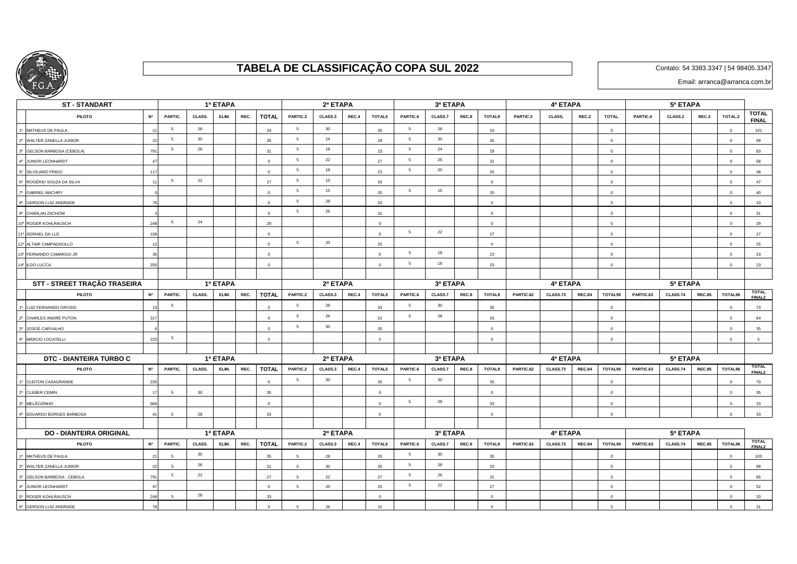

## **TABELA DE CLASSIFICAÇÃO COPA SUL 2022**

Contato: 54 3383.3347 | 54 98405.3347

Email: arranca@arranca.com.br

| ー<br><b>ST-STANDART</b>              |                         |                 |        | 1ª ETAPA |      |                 |                 | 2ª ETAPA   |       |                |                 | 3ª ETAPA |       |                |           | 4ª ETAPA |               |                |           | 5ª ETAPA |               |                |                                    |
|--------------------------------------|-------------------------|-----------------|--------|----------|------|-----------------|-----------------|------------|-------|----------------|-----------------|----------|-------|----------------|-----------|----------|---------------|----------------|-----------|----------|---------------|----------------|------------------------------------|
| <b>PILOTO</b>                        | N <sup>o</sup>          | PARTIC.         | CLASS. | ELIM.    | REC. | <b>TOTAL</b>    | PARTIC.2        | CLASS.3    | REC.4 | TOTAL5         | PARTIC.6        | CLASS.7  | REC.8 | <b>TOTAL9</b>  | PARTIC.3  | CLASS,   | REC.2         | TOTAL.         | PARTIC.4  | CLASS.2  | REC.3         | TOTAL.2        | <b>TOTAL</b><br><b>FINAL</b>       |
| 1º MATHEUS DE PAULA                  |                         | 5               | 28     |          |      | 33              | 5               | 30         |       | 35             | 5               | 28       |       | 33             |           |          |               | $\overline{0}$ |           |          |               | $\Omega$       | 101                                |
| WALTER ZANELLA JUNIOR<br>$2^{\circ}$ | $\overline{2}$          | 5               | 30     |          |      | 35              | $5\overline{5}$ | 24         |       | 29             | $5\overline{5}$ | 30       |       | 35             |           |          |               | $\Omega$       |           |          |               | $\Omega$       | 99                                 |
| GELSON BARBOSA (CEBOLA)              | 79                      | $\overline{5}$  | 26     |          |      | 31              | 5               | 18         |       | 23             | $5\overline{5}$ | 24       |       | 29             |           |          |               | $\circ$        |           |          |               | $\Omega$       | 83                                 |
| JUNIOR LEONHARDT                     |                         |                 |        |          |      | $\Omega$        | 5               | 22         |       | 27             | $5\overline{5}$ | 26       |       | 31             |           |          |               | $\circ$        |           |          |               | $\Omega$       | 58                                 |
| 5º SILVILIANO FRIGO                  | 117                     |                 |        |          |      | $\Omega$        | 5               | 18         |       | 23             | $5\overline{5}$ | 20       |       | 25             |           |          |               | $\Omega$       |           |          |               | $\Omega$       | 48                                 |
| 6º ROGÉRIO SOUZA DA SILVA            | $\overline{1}$          | -5              | 22     |          |      | 27              | $5\overline{5}$ | 15         |       | 20             |                 |          |       | $\overline{0}$ |           |          |               | $\mathbf 0$    |           |          |               | $\Omega$       | 47                                 |
| <b>GABRIEL MACHRY</b>                |                         |                 |        |          |      | $\circ$         | 5               | 15         |       | 20             | $5\overline{5}$ | 15       |       | 20             |           |          |               | $\circ$        |           |          |               | $\overline{0}$ | 40                                 |
| 8º GERSON LUIZ ANDRADE               |                         |                 |        |          |      | $\mathbf{0}$    | 5               | 28         |       | 33             |                 |          |       | $\circ$        |           |          |               | $\overline{0}$ |           |          |               | $\Omega$       | 33                                 |
| CHARLAN ZACHOW<br>.go                |                         |                 |        |          |      | $\Omega$        | $5\overline{5}$ | 26         |       | 31             |                 |          |       | $\overline{0}$ |           |          |               | $\circ$        |           |          |               | $\mathbf 0$    | 31                                 |
| 10° ROGER KOHLRAUSCH                 | 248                     | $\overline{5}$  | 24     |          |      | 29              |                 |            |       | $\Omega$       |                 |          |       | $\Omega$       |           |          |               | $\Omega$       |           |          |               | $\Omega$       | 29                                 |
| <b>ISDRAEL DA LUZ</b>                | 15                      |                 |        |          |      | $\Omega$        |                 |            |       | $\overline{0}$ | $5\overline{5}$ | 22       |       | 27             |           |          |               | $\Omega$       |           |          |               | $\Omega$       | 27                                 |
| 12º ALTAIR CAMPAGNOLLO               |                         |                 |        |          |      | $\Omega$        | 5               | 20         |       | 25             |                 |          |       | $\Omega$       |           |          |               | $\Omega$       |           |          |               | $\Omega$       | 25                                 |
| 13º FERNANDO CAMARGO JR              |                         |                 |        |          |      | $\Omega$        |                 |            |       | $\overline{0}$ | $5\overline{5}$ | 18       |       | 23             |           |          |               | $\Omega$       |           |          |               | $\Omega$       | 23                                 |
| 14º ILDO LUCCA                       | 255                     |                 |        |          |      | $\circ$         |                 |            |       | $\circ$        | 5               | 18       |       | 23             |           |          |               | $\circ$        |           |          |               | $\Omega$       | 23                                 |
|                                      |                         |                 |        |          |      |                 |                 |            |       |                |                 |          |       |                |           |          |               |                |           |          |               |                |                                    |
| STT - STREET TRAÇÃO TRASEIRA         |                         |                 |        | 1ª ETAPA |      |                 |                 | 2ª ETAPA   |       |                |                 | 3ª ETAPA |       |                |           | 4ª ETAPA |               |                |           | 5ª ETAPA |               |                |                                    |
| <b>PILOTO</b>                        | <b>N°</b>               | PARTIC.         | CLASS. | ELIM.    | REC. | <b>TOTAL</b>    | PARTIC.2        | CLASS.3    | REC.4 | TOTAL5         | PARTIC.6        | CLASS.7  | REC.8 | <b>TOTAL9</b>  | PARTIC.62 | CLASS.73 | <b>REC.84</b> | TOTAL95        | PARTIC.63 | CLASS.74 | <b>REC.85</b> | TOTAL96        | <b>TOTAL</b><br>FINAL2             |
| 1º LUIZ FERNANDO GROSSI              |                         | $\overline{5}$  |        |          |      |                 | 5               | 28         |       | 33             | 5               | 30       |       | 35             |           |          |               | $\mathbf 0$    |           |          |               |                | 73                                 |
| CHARLES ANDRÉ PUTON                  | 31                      |                 |        |          |      | $\Omega$        | 5               | 26         |       | 31             | $5\overline{5}$ | 28       |       | 33             |           |          |               | $\Omega$       |           |          |               | $\Omega$       | 64                                 |
| 3º JOSOÉ CARVALHO                    |                         |                 |        |          |      | $\Omega$        | $5\overline{5}$ | 30         |       | 35             |                 |          |       | $\Omega$       |           |          |               | $\Omega$       |           |          |               | $\Omega$       | 35                                 |
| MÁRCIO LOCATELLI                     | 223                     | $5\overline{5}$ |        |          |      | $5\overline{5}$ |                 |            |       | $\overline{0}$ |                 |          |       | $\overline{0}$ |           |          |               | $\circ$        |           |          |               | $\overline{0}$ | 5                                  |
|                                      |                         |                 |        |          |      |                 |                 |            |       |                |                 |          |       |                |           |          |               |                |           |          |               |                |                                    |
| DTC - DIANTEIRA TURBO C              |                         | 1ª ETAPA        |        |          |      |                 |                 | 2ª ETAPA   |       |                | 3ª ETAPA        |          |       |                |           | 5ª ETAPA |               |                |           |          |               |                |                                    |
| <b>PILOTO</b>                        | $\mathsf{N}^\mathsf{o}$ | PARTIC.         | CLASS. | ELIM.    | REC. | <b>TOTAL</b>    | PARTIC.2        | CLASS.3    | REC.4 | TOTAL5         | PARTIC.6        | CLASS.7  | REC.8 | <b>TOTAL9</b>  | PARTIC.62 | CLASS.73 | <b>REC.84</b> | TOTAL95        | PARTIC.63 | CLASS.74 | <b>REC.85</b> | TOTAL96        | <b>TOTAL</b><br>FINAL <sub>2</sub> |
| 1º CLEITON CASAGRANDE                | 220                     |                 |        |          |      | $\circ$         | 5               | 30         |       | 35             | $5\overline{5}$ | 30       |       | 35             |           |          |               | $\mathbf 0$    |           |          |               | $\Omega$       | 70                                 |
| <b>CLEBER CEMIN</b><br>$2^{\circ}$   |                         | 5               | 30     |          |      | 35              |                 |            |       | $\circ$        |                 |          |       | $\circ$        |           |          |               | $\Omega$       |           |          |               | $\Omega$       | 35                                 |
| MELÃOZINHO                           | 666                     |                 |        |          |      | $\overline{0}$  |                 |            |       | $\circ$        | 5               | 28       |       | 33             |           |          |               | $\overline{0}$ |           |          |               | $\Omega$       | 33                                 |
| EDUARDO BORGES BARBOSA               | $\overline{4}$          | -5              | 28     |          |      | 33              |                 |            |       | $\overline{0}$ |                 |          |       | $\overline{0}$ |           |          |               | $\Omega$       |           |          |               | $\Omega$       | 33                                 |
|                                      |                         |                 |        |          |      |                 |                 |            |       |                |                 |          |       |                |           |          |               |                |           |          |               |                |                                    |
| <b>DO - DIANTEIRA ORIGINAL</b>       | 1ª ETAPA                |                 |        |          |      |                 | 2ª ETAPA        |            |       |                | 3ª ETAPA        |          |       |                | 4ª ETAPA  |          |               |                | 5ª ETAPA  |          |               |                |                                    |
| <b>PILOTO</b>                        | N <sup>o</sup>          | PARTIC.         | CLASS. | ELIM.    | REC. | <b>TOTAL</b>    | PARTIC.2        | CLASS.3    | REC.4 | TOTAL5         | PARTIC.6        | CLASS.7  | REC.8 | <b>TOTAL9</b>  | PARTIC.62 | CLASS.73 | <b>REC.84</b> | TOTAL95        | PARTIC.63 | CLASS.74 | <b>REC.85</b> | TOTAL96        | <b>TOTAL</b><br>FINAL <sub>2</sub> |
| MATHEUS DE PAULA                     |                         | 5               | 30     |          |      | 35              | 5               | 28         |       | 33             | $5\overline{)}$ | 30       |       | 35             |           |          |               | $\circ$        |           |          |               | $\Omega$       | 103                                |
| WALTER ZANELLA JUNIOR                | $\mathcal{D}$           | $\overline{a}$  | 26     |          |      | 31              | 5               | 30         |       | 35             | $5\overline{5}$ | 28       |       | 33             |           |          |               | $\overline{0}$ |           |          |               | $\Omega$       | 99                                 |
| GELSON BARBOSA - CEBOLA              | 791                     | 5               | 22     |          |      | 27              | $5\overline{5}$ | 22         |       | 27             | $5\overline{5}$ | 26       |       | 31             |           |          |               | $\overline{0}$ |           |          |               | $\overline{0}$ | 85                                 |
| <b>JUNIOR LEONHARDT</b>              |                         |                 |        |          |      | $\circ$         | $5\overline{5}$ | 20         |       | 25             | $5\overline{5}$ | 22       |       | 27             |           |          |               | $\overline{0}$ |           |          |               | $\Omega$       | 52                                 |
| ROGER KOHLRAUSCH                     | 248                     | 5               | 28     |          |      | 33              |                 |            |       | $\Omega$       |                 |          |       | $\Omega$       |           |          |               | $\Omega$       |           |          |               | $\Omega$       | 33                                 |
| 6º GERSON LUIZ ANDRADE               |                         |                 |        |          |      |                 | 5               | ${\bf 26}$ |       | 31             |                 |          |       | $\Omega$       |           |          |               | $\Omega$       |           |          |               | $\Omega$       | 31                                 |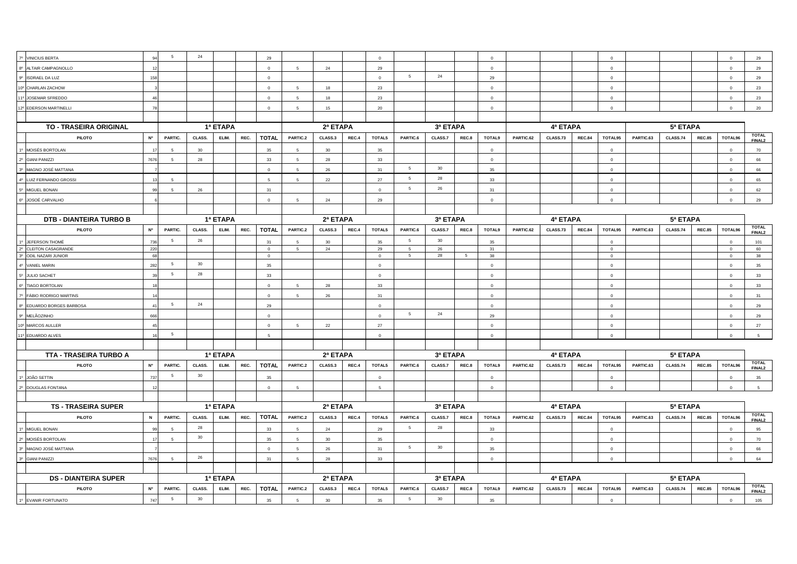| 7º VINICIUS BERTA                  | $Q_4$           | 5              | 24     |          |      | 29             |                 |            |       | $\Omega$    |                 |          |       | $\Omega$       |           |          |               | $\Omega$       |           |                 |               | $\Omega$       | 29                                 |
|------------------------------------|-----------------|----------------|--------|----------|------|----------------|-----------------|------------|-------|-------------|-----------------|----------|-------|----------------|-----------|----------|---------------|----------------|-----------|-----------------|---------------|----------------|------------------------------------|
| 8º ALTAIR CAMPAGNOLLO              | 12              |                |        |          |      | $\circ$        | $5\overline{5}$ | 24         |       | 29          |                 |          |       | $\circ$        |           |          |               | $\circ$        |           |                 |               | $\overline{0}$ | 29                                 |
| 9º ISDRAEL DA LUZ                  | 158             |                |        |          |      | $\Omega$       |                 |            |       | $\Omega$    | $5\overline{)}$ | 24       |       | 29             |           |          |               | $\Omega$       |           |                 |               | $\Omega$       | 29                                 |
| 10° CHARLAN ZACHOW                 |                 |                |        |          |      | $\mathbf 0$    | $5\overline{5}$ | 18         |       | 23          |                 |          |       | $\circ$        |           |          |               | $\circ$        |           |                 |               | $\mathbf{0}$   | 23                                 |
| 11º JOSEMAR SFREDDO                | $\overline{AB}$ |                |        |          |      | $\Omega$       | -5              | 18         |       | 23          |                 |          |       | $\circ$        |           |          |               | $\Omega$       |           |                 |               | $\Omega$       | 23                                 |
| 12º EDERSON MARTINELLI             | 78              |                |        |          |      | $\Omega$       | -5              | 15         |       | 20          |                 |          |       | $\Omega$       |           |          |               | $\Omega$       |           |                 |               | $\circ$        | 20                                 |
|                                    |                 |                |        |          |      |                |                 |            |       |             |                 |          |       |                |           |          |               |                |           |                 |               |                |                                    |
| <b>TO - TRASEIRA ORIGINAL</b>      |                 |                |        | 1ª ETAPA |      |                |                 | 2ª ETAPA   |       | 3ª ETAPA    |                 |          |       | 4ª ETAPA       |           |          |               | 5ª ETAPA       |           |                 |               |                |                                    |
| <b>PILOTO</b>                      | <b>N°</b>       | PARTIC.        | CLASS. | ELIM.    | REC. | <b>TOTAL</b>   | PARTIC.2        | CLASS.3    | REC.4 | TOTAL5      | PARTIC.6        | CLASS.7  | REC.8 | TOTAL9         | PARTIC.62 | CLASS.73 | <b>REC.84</b> | TOTAL95        | PARTIC.63 | <b>CLASS.74</b> | <b>REC.85</b> | TOTAL96        | <b>TOTAL</b><br>FINAL <sub>2</sub> |
| 1º MOISÉS BORTOLAN                 |                 | $\overline{5}$ | 30     |          |      | 35             | $5\overline{5}$ | 30         |       | 35          |                 |          |       | $\overline{0}$ |           |          |               | $\circ$        |           |                 |               | $\overline{0}$ | 70                                 |
| 2º GIANI PANIZZI                   | 7676            | $\sqrt{5}$     | 28     |          |      | 33             | -5              | 28         |       | 33          |                 |          |       | $\circ$        |           |          |               | $\circ$        |           |                 |               | $\Omega$       | 66                                 |
| 3º MAGNO JOSÉ MATTANA              |                 |                |        |          |      | $\Omega$       |                 | 26         |       | 31          | 5               | 30       |       | 35             |           |          |               | $\Omega$       |           |                 |               | $\circ$        | 66                                 |
| 4º LUIZ FERNANDO GROSSI            | 13              | -5             |        |          |      | -5             | 5 <sup>5</sup>  | 22         |       | 27          | 5               | 28       |       | 33             |           |          |               | $\overline{0}$ |           |                 |               | $\Omega$       | 65                                 |
| 5º MIGUEL BONAN                    | 99              | -5             | 26     |          |      | 31             |                 |            |       | $\Omega$    | $5\overline{5}$ | 26       |       | 31             |           |          |               | $\mathbf 0$    |           |                 |               | $\mathbf 0$    | 62                                 |
| 6° JOSOÉ CARVALHO                  |                 |                |        |          |      | $\Omega$       |                 | ${\bf 24}$ |       | 29          |                 |          |       | $\circ$        |           |          |               |                |           |                 |               | $\Omega$       | 29                                 |
|                                    |                 |                |        |          |      |                |                 |            |       |             |                 |          |       |                |           |          |               |                |           |                 |               |                |                                    |
| <b>DTB - DIANTEIRA TURBO B</b>     |                 |                |        | 1ª ETAPA |      |                |                 | 2ª ETAPA   |       |             |                 | 3ª ETAPA |       |                |           | 4ª ETAPA |               |                |           |                 |               |                |                                    |
| <b>PILOTO</b>                      | <b>N°</b>       | PARTIC.        | CLASS. | ELIM.    | REC. | <b>TOTAL</b>   | PARTIC.2        | CLASS.3    | REC.4 | TOTAL5      | PARTIC.6        | CLASS.7  | REC.8 | TOTAL9         | PARTIC.62 | CLASS.73 | <b>REC.84</b> | TOTAL95        | PARTIC.63 | CLASS.74        | <b>REC.85</b> | TOTAL96        | <b>TOTAL</b><br><b>FINAL2</b>      |
| <sup>o</sup> JEFERSON THOMÉ        | 736             | 5              | 26     |          |      | 31             | -5              | 30         |       | 35          | $5\overline{5}$ | 30       |       | 35             |           |          |               | $\Omega$       |           |                 |               | $\Omega$       | 101                                |
| 2º CLEITON CASAGRANDE              | 220             |                |        |          |      | $\overline{0}$ | $5\overline{5}$ | 24         |       | 29          | 5               | 26       |       | 31             |           |          |               | $\overline{0}$ |           |                 |               | $\overline{0}$ | 60                                 |
| 3º ODIL NAZARI JUNIOR              | 68              |                |        |          |      | $\circ$        |                 |            |       | $\circ$     | $5\overline{5}$ | 28       | $-5$  | 38             |           |          |               | $\circ$        |           |                 |               | $\Omega$       | 38                                 |
| <b>VANIEL MARIN</b>                | 282             | 5              | 30     |          |      | 35             |                 |            |       | $\mathbf 0$ |                 |          |       | $\overline{0}$ |           |          |               | $\overline{0}$ |           |                 |               | $\mathbf 0$    | 35                                 |
| JULIO SACHET                       | 30              | - 5            | 28     |          |      | 33             |                 |            |       | $\circ$     |                 |          |       | $\overline{0}$ |           |          |               | $\Omega$       |           |                 |               | $\Omega$       | 33                                 |
| <sup>®</sup> TIAGO BORTOLAN        |                 |                |        |          |      | $\Omega$       |                 | 28         |       | 33          |                 |          |       | $\Omega$       |           |          |               |                |           |                 |               | $\Omega$       | 33                                 |
| <sup>®</sup> FÁBIO RODRIGO MARTINS |                 |                |        |          |      | $\mathbf 0$    | $5 -$           | 26         |       | 31          |                 |          |       | $\mathbf 0$    |           |          |               | $\circ$        |           |                 |               | $\mathbf 0$    | 31                                 |
| EDUARDO BORGES BARBOSA             | 41              | 5              | 24     |          |      | 29             |                 |            |       | $\Omega$    |                 |          |       | $\Omega$       |           |          |               | $\Omega$       |           |                 |               | $\Omega$       | 29                                 |
| 9º MELÃOZINHO                      | 666             |                |        |          |      | $\Omega$       |                 |            |       | $\Omega$    | 5               | 24       |       | 29             |           |          |               | $\Omega$       |           |                 |               | $\Omega$       | 29                                 |
| 10° MARCOS AULLER                  | 45              |                |        |          |      | $\circ$        | -5              | 22         |       | 27          |                 |          |       | $\circ$        |           |          |               | $\overline{0}$ |           |                 |               | $\circ$        | 27                                 |
| <sup>o</sup> EDUARDO ALVES         | 16              | 5              |        |          |      | $\overline{5}$ |                 |            |       | $\mathsf 0$ |                 |          |       | $\overline{0}$ |           |          |               | $\mathbf 0$    |           |                 |               | $\overline{0}$ | 5                                  |
|                                    |                 |                |        |          |      |                |                 |            |       |             |                 |          |       |                |           |          |               |                |           |                 |               |                |                                    |
| TTA - TRASEIRA TURBO A             |                 |                |        | 1ª ETAPA |      |                |                 | 2ª ETAPA   |       |             |                 | 3ª ETAPA |       |                |           | 4ª ETAPA |               |                |           | 5ª ETAPA        |               |                |                                    |
| <b>PILOTO</b>                      | <b>N°</b>       | PARTIC.        | CLASS. | ELIM.    | REC. | <b>TOTAL</b>   | PARTIC.2        | CLASS.3    | REC.4 | TOTAL5      | PARTIC.6        | CLASS.7  | REC.8 | <b>TOTAL9</b>  | PARTIC.62 | CLASS.73 | <b>REC.84</b> | TOTAL95        | PARTIC.63 | CLASS.74        | <b>REC.85</b> | TOTAL96        | <b>TOTAL</b><br>FINAL2             |
| 1º JOÃO SETTIN                     | 737             | -5             | 30     |          |      | 35             |                 |            |       | $\Omega$    |                 |          |       | $\Omega$       |           |          |               | $\Omega$       |           |                 |               | $\Omega$       | 35                                 |
| 2º DOUGLAS FONTANA                 |                 |                |        |          |      | $\mathbf{0}$   | 5               |            |       | 5           |                 |          |       | $\circ$        |           |          |               | $\overline{0}$ |           |                 |               | $\overline{0}$ | $\sqrt{5}$                         |
|                                    |                 |                |        |          |      |                |                 |            |       |             |                 |          |       |                |           |          |               |                |           |                 |               |                |                                    |
| <b>TS - TRASEIRA SUPER</b>         |                 |                |        | 1ª ETAPA |      |                |                 | 2ª ETAPA   |       |             |                 | 3ª ETAPA |       |                |           | 4ª ETAPA |               |                |           | 5ª ETAPA        |               |                |                                    |
| <b>PILOTO</b>                      | $\,$ N          | PARTIC.        | CLASS. | ELIM.    | REC. | <b>TOTAL</b>   | PARTIC.2        | CLASS.3    | REC.4 | TOTAL5      | PARTIC.6        | CLASS.7  | REC.8 | TOTAL9         | PARTIC.62 | CLASS.73 | <b>REC.84</b> | TOTAL95        | PARTIC.63 | CLASS.74        | <b>REC.85</b> | TOTAL96        | <b>TOTAL</b><br>FINAL <sub>2</sub> |
| 1º MIGUEL BONAN                    | 90              | -5             | 28     |          |      | 33             | 5 <sup>5</sup>  | 24         |       | 29          | $5\overline{5}$ | 28       |       | 33             |           |          |               | $\Omega$       |           |                 |               | $\circ$        | 95                                 |
| 2º MOISÉS BORTOLAN                 | 17              | $\sqrt{5}$     | 30     |          |      | 35             | $5\overline{5}$ | 30         |       | 35          |                 |          |       | $\circ$        |           |          |               | $\mathbf 0$    |           |                 |               | $\mathbf 0$    | 70                                 |
| 3º MAGNO JOSÉ MATTANA              |                 |                |        |          |      | $\Omega$       | -5              | 26         |       | 31          | $\sqrt{5}$      | 30       |       | 35             |           |          |               | $\Omega$       |           |                 |               | $\Omega$       | 66                                 |
| 3º GIANI PANIZZI                   | 7676            | $\sqrt{5}$     | 26     |          |      | 31             | 5               | 28         |       | 33          |                 |          |       | $\circ$        |           |          |               | $\Omega$       |           |                 |               | $\mathbf 0$    | 64                                 |
|                                    |                 |                |        |          |      |                |                 |            |       |             |                 |          |       |                |           |          |               |                |           |                 |               |                |                                    |
| <b>DS - DIANTEIRA SUPER</b>        | 1ª ETAPA        |                |        |          |      |                |                 | 2ª ETAPA   |       | 3ª ETAPA    |                 |          |       |                | 4ª ETAPA  |          |               | 5ª ETAPA       |           |                 |               |                |                                    |
| PILOTO                             | <b>N°</b>       | PARTIC.        | CLASS. | ELIM.    | REC. | <b>TOTAL</b>   | PARTIC.2        | CLASS.3    | REC.4 | TOTAL5      | PARTIC.6        | CLASS.7  | REC.8 | <b>TOTAL9</b>  | PARTIC.62 | CLASS.73 | <b>REC.84</b> | TOTAL95        | PARTIC.63 | CLASS.74        | <b>REC.85</b> | TOTAL96        | <b>TOTAL</b><br>FINAL <sub>2</sub> |
| 1º EVANIR FORTUNATO                | 747             | 5              | 30     |          |      | 35             | 5               | 30         |       | 35          | $5^{\circ}$     | 30       |       | 35             |           |          |               | $\Omega$       |           |                 |               | $\Omega$       | 105                                |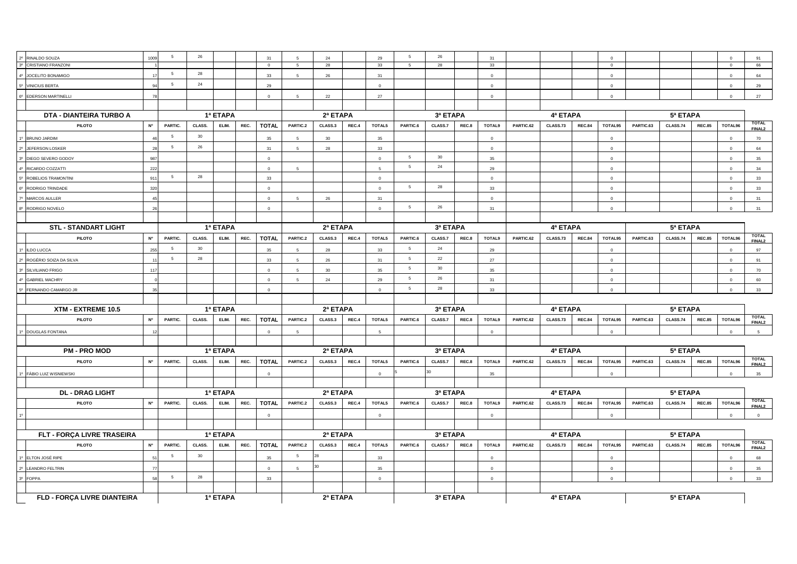| RINALDO SOUZA<br><b>CRISTIANO FRANZONI</b><br>$30^{\circ}$ | 1009        | 5               | 26     |          |      | 31<br>$\overline{0}$ | 5 <sup>5</sup>  | 24<br>28 |       | 29<br>33                         | 5<br>5          | 26<br>28       |       | 31<br>33        |           |          |               | $\overline{0}$<br>$\overline{0}$ |           |          |               | $\overline{0}$<br>$\overline{0}$ | 91<br>66                           |  |  |  |
|------------------------------------------------------------|-------------|-----------------|--------|----------|------|----------------------|-----------------|----------|-------|----------------------------------|-----------------|----------------|-------|-----------------|-----------|----------|---------------|----------------------------------|-----------|----------|---------------|----------------------------------|------------------------------------|--|--|--|
| 4º JOCELITO BONAMIGO                                       |             | 5               | 28     |          |      | 33                   |                 | 26       |       | 31                               |                 |                |       | $\circ$         |           |          |               | $\Omega$                         |           |          |               |                                  | 64                                 |  |  |  |
|                                                            |             | $5\phantom{.0}$ | 24     |          |      |                      |                 |          |       |                                  |                 |                |       |                 |           |          |               |                                  |           |          |               | $\overline{0}$                   |                                    |  |  |  |
| 5°<br><b>VINICIUS BERTA</b>                                |             |                 |        |          |      | 29                   |                 |          |       | $\Omega$                         |                 |                |       | $\circ$         |           |          |               | $\circ$                          |           |          |               | $\mathbf 0$                      | 29                                 |  |  |  |
| 6º EDERSON MARTINELLI                                      | 78          |                 |        |          |      | $\mathbf 0$          |                 | 22       |       | 27                               |                 |                |       | $\overline{0}$  |           |          |               | $\Omega$                         |           |          |               | $\mathbf 0$                      | 27                                 |  |  |  |
| DTA - DIANTEIRA TURBO A                                    |             |                 |        | 1ª ETAPA |      |                      |                 | 2ª ETAPA |       |                                  |                 | 3ª ETAPA       |       |                 |           | 4ª ETAPA |               |                                  |           | 5ª ETAPA |               |                                  |                                    |  |  |  |
| <b>PILOTO</b>                                              | <b>N°</b>   | PARTIC.         | CLASS. | ELIM.    | REC. | <b>TOTAL</b>         | PARTIC.2        | CLASS.3  | REC.4 | TOTAL5                           | PARTIC.6        | CLASS.7        | REC.8 | TOTAL9          | PARTIC.62 | CLASS.73 | <b>REC.84</b> | TOTAL95                          | PARTIC.63 | CLASS.74 | <b>REC.85</b> | TOTAL96                          | <b>TOTAL</b>                       |  |  |  |
| 1º BRUNO JARDIM                                            |             | 5               | 30     |          |      | 35                   |                 | 30       |       | 35                               |                 |                |       | $\Omega$        |           |          |               | $\Omega$                         |           |          |               | $\Omega$                         | FINAL <sub>2</sub><br>70           |  |  |  |
| 2º JEFERSON LOSKER                                         | 28          | $5\phantom{.0}$ | 26     |          |      | 31                   | $5\overline{5}$ | 28       |       | 33                               |                 |                |       | $\overline{0}$  |           |          |               | $\overline{0}$                   |           |          |               | $\circ$                          | 64                                 |  |  |  |
| DIEGO SEVERO GODOY                                         | 987         |                 |        |          |      | $\mathbf 0$          |                 |          |       | $\circ$                          | 5               | 30             |       | 35              |           |          |               | $\overline{0}$                   |           |          |               | $\circ$                          | 35                                 |  |  |  |
| RICARDO COZZATTI                                           | 222         |                 |        |          |      | $\mathbf 0$          | 5               |          |       | 5                                | 5               | 24             |       | 29              |           |          |               | $\overline{0}$                   |           |          |               | $\overline{0}$                   | 34                                 |  |  |  |
| ROBELIOS TRAMONTINI                                        | 911         | 5               | 28     |          |      | 33                   |                 |          |       | $\Omega$                         |                 |                |       | $\circ$         |           |          |               | $\Omega$                         |           |          |               | $\mathbf 0$                      | 33                                 |  |  |  |
| RODRIGO TRINDADE                                           | 320         |                 |        |          |      | $\Omega$             |                 |          |       | $\circ$                          | 5               | 28             |       | 33              |           |          |               | $\sqrt{2}$                       |           |          |               | $\overline{0}$                   | 33                                 |  |  |  |
| MARCOS AULLER                                              | 45          |                 |        |          |      | $\Omega$             | 5 <sup>5</sup>  | 26       |       | 31                               |                 |                |       | $\circ$         |           |          |               | $\Omega$                         |           |          |               | $\circ$                          | 31                                 |  |  |  |
| RODRIGO NOVELO                                             | 26          |                 |        |          |      | $\circ$              |                 |          |       | $\circ$                          | 5               | 26             |       | 31              |           |          |               | $\Omega$                         |           |          |               | $\circ$                          | 31                                 |  |  |  |
|                                                            |             |                 |        |          |      |                      |                 |          |       |                                  |                 |                |       |                 |           |          |               |                                  |           |          |               |                                  |                                    |  |  |  |
| <b>STL - STANDART LIGHT</b>                                |             |                 |        | 1ª ETAPA |      |                      |                 | 2ª ETAPA |       |                                  |                 | 3ª ETAPA       |       |                 |           | 4ª ETAPA |               |                                  |           |          |               |                                  |                                    |  |  |  |
| PILOTO                                                     | <b>N°</b>   | PARTIC.         | CLASS. | ELIM.    | REC. | <b>TOTAL</b>         | PARTIC.2        | CLASS.3  | REC.4 | TOTAL5                           | PARTIC.6        | CLASS.7        | REC.8 | <b>TOTAL9</b>   | PARTIC.62 | CLASS.73 | <b>REC.84</b> | TOTAL95                          | PARTIC.63 | CLASS.74 | <b>REC.85</b> | TOTAL96                          | <b>TOTAL</b><br>FINAL2             |  |  |  |
| 1º ILDO LUCCA                                              | 255         | 5               | 30     |          |      | 35                   |                 | 28       |       | 33                               | 5               | 24             |       | 29              |           |          |               | $\overline{0}$                   |           |          |               | $\circ$                          | 97                                 |  |  |  |
| 2º ROGÉRIO SOIZA DA SILVA                                  |             | 5               | 28     |          |      | 33                   | -5              | 26       |       | 31                               | 5               | 22             |       | 27              |           |          |               | $\Omega$                         |           |          |               | $\circ$                          | 91                                 |  |  |  |
| 3º SILVILIANO FRIGO                                        | 117         |                 |        |          |      | $\Omega$             | -5              | 30       |       | 35                               | 5               | 30             |       | 35              |           |          |               | $\circ$                          |           |          |               | $\mathbf 0$                      | 70                                 |  |  |  |
| 4º GABRIEL MACHRY                                          |             |                 |        |          |      | $\Omega$             | $\sim$          | 24       |       | 29                               | 5               | 26             |       | 31              |           |          |               | $\Omega$                         |           |          |               | $\overline{0}$                   | 60                                 |  |  |  |
| 5º FERNANDO CAMARGO JR                                     |             |                 |        |          |      | $\Omega$             |                 |          |       | $\Omega$                         | $5\overline{5}$ | 28             |       | 33 <sup>°</sup> |           |          |               | $\Omega$                         |           |          |               | $\circ$                          | 33                                 |  |  |  |
|                                                            |             |                 |        |          |      |                      |                 |          |       |                                  |                 |                |       |                 |           |          |               |                                  |           |          |               |                                  |                                    |  |  |  |
| XTM - EXTREME 10.5                                         |             |                 |        | 1ª ETAPA |      |                      |                 | 2ª ETAPA |       |                                  |                 | 3ª ETAPA       |       |                 |           | 4ª ETAPA |               |                                  |           | 5ª ETAPA |               |                                  |                                    |  |  |  |
| <b>PILOTO</b>                                              | $N^{\circ}$ | PARTIC.         | CLASS. | ELIM.    | REC. | <b>TOTAL</b>         | PARTIC.2        | CLASS.3  | REC.4 | TOTAL5                           | PARTIC.6        | CLASS.7        | REC.8 | TOTAL9          | PARTIC.62 | CLASS.73 | <b>REC.84</b> | TOTAL95                          | PARTIC.63 | CLASS.74 | <b>REC.85</b> | TOTAL96                          | <b>TOTAL</b><br>FINAL <sub>2</sub> |  |  |  |
| 1º DOUGLAS FONTANA                                         | 12          |                 |        |          |      | $\overline{0}$       | 5 <sup>5</sup>  |          |       | 5                                |                 |                |       | $\circ$         |           |          |               | $\overline{0}$                   |           |          |               | $\overline{0}$                   | $5\overline{5}$                    |  |  |  |
|                                                            |             |                 |        |          |      |                      |                 |          |       |                                  |                 |                |       |                 |           |          |               |                                  |           |          |               |                                  |                                    |  |  |  |
| <b>PM - PRO MOD</b>                                        |             |                 |        | 1ª ETAPA |      |                      |                 | 2ª ETAPA |       |                                  |                 | 3ª ETAPA       |       |                 |           | 4ª ETAPA |               |                                  |           | 5ª ETAPA |               |                                  |                                    |  |  |  |
| <b>PILOTO</b>                                              | <b>N°</b>   | PARTIC.         | CLASS. | ELIM.    | REC. | <b>TOTAL</b>         | PARTIC.2        | CLASS.3  | REC.4 | TOTAL5                           | PARTIC.6        | CLASS.7        | REC.8 | <b>TOTAL9</b>   | PARTIC.62 | CLASS.73 | <b>REC.84</b> | TOTAL95                          | PARTIC.63 | CLASS.74 | <b>REC.85</b> | TOTAL96                          | <b>TOTAL</b><br>FINAL <sub>2</sub> |  |  |  |
| 1º FÁBIO LUIZ WISNIEWSKI                                   |             |                 |        |          |      | $\circ$              |                 |          |       | $\mathbf 0$                      |                 |                |       | 35              |           |          |               | $\Omega$                         |           |          |               | $\circ$                          | 35                                 |  |  |  |
|                                                            |             |                 |        |          |      |                      |                 |          |       |                                  |                 |                |       |                 |           |          |               |                                  |           |          |               |                                  |                                    |  |  |  |
| <b>DL - DRAG LIGHT</b>                                     |             |                 |        | 1ª ETAPA |      |                      |                 | 2ª ETAPA |       |                                  |                 | 3ª ETAPA       |       |                 |           | 4ª ETAPA |               |                                  |           | 5ª ETAPA |               |                                  |                                    |  |  |  |
| <b>PILOTO</b>                                              | <b>Nº</b>   | PARTIC.         | CLASS. | ELIM.    | REC. | <b>TOTAL</b>         | PARTIC.2        | CLASS.3  | REC.4 | TOTAL5                           | PARTIC.6        | <b>CLASS.7</b> | REC.8 | TOTAL9          | PARTIC.62 | CLASS.73 | <b>REC.84</b> | TOTAL95                          | PARTIC.63 | CLASS.74 | <b>REC.85</b> | TOTAL96                          | <b>TOTAL</b><br>FINAL <sub>2</sub> |  |  |  |
|                                                            |             |                 |        |          |      | $\Omega$             |                 |          |       | $\Omega$                         |                 |                |       | $\circ$         |           |          |               | $\overline{0}$                   |           |          |               | $\mathbf 0$                      | $\circ$                            |  |  |  |
|                                                            |             |                 |        |          |      |                      |                 |          |       |                                  |                 |                |       |                 |           |          |               |                                  |           |          |               |                                  |                                    |  |  |  |
| FLT - FORÇA LIVRE TRASEIRA                                 |             |                 |        | 1ª ETAPA |      |                      |                 | 2ª ETAPA |       |                                  |                 | 3ª ETAPA       |       |                 |           | 4ª ETAPA |               |                                  |           | 5ª ETAPA |               |                                  |                                    |  |  |  |
| <b>PILOTO</b>                                              | <b>N°</b>   | PARTIC.         | CLASS. | ELIM.    | REC. | <b>TOTAL</b>         | PARTIC.2        | CLASS.3  | REC.4 | TOTAL5                           | PARTIC.6        | CLASS.7        | REC.8 | TOTAL9          | PARTIC.62 | CLASS.73 | <b>REC.84</b> | TOTAL95                          | PARTIC.63 | CLASS.74 | <b>REC.85</b> | TOTAL96                          | <b>TOTAL</b><br>FINAL <sub>2</sub> |  |  |  |
| 1º ELTON JOSÉ RIPE                                         | -51         | 5               | 30     |          |      | 35                   | 5               |          |       | 33                               |                 |                |       | $\Omega$        |           |          |               | $\Omega$                         |           |          |               | $\overline{0}$                   | 68                                 |  |  |  |
| 2º LEANDRO FELTRIN                                         |             |                 |        |          |      | $\Omega$             | 5               | 30       |       | 35                               |                 |                |       | $\Omega$        |           |          |               | $\Omega$                         |           |          |               | $\overline{0}$                   | 35                                 |  |  |  |
| 3º FOPPA                                                   | 58          | 5               | 28     |          |      | 33                   |                 |          |       | $\circ$                          |                 |                |       | $\circ$         |           |          |               | $\overline{0}$                   |           |          |               | $\overline{0}$                   | 33                                 |  |  |  |
|                                                            |             |                 |        |          |      |                      |                 |          |       |                                  |                 |                |       |                 |           |          |               |                                  |           |          |               |                                  |                                    |  |  |  |
| FLD - FORCA LIVRE DIANTEIRA                                | 1ª ETAPA    |                 |        |          |      | 2ª ETAPA             |                 |          |       | 3ª ETAPA<br>4ª ETAPA<br>5ª ETAPA |                 |                |       |                 |           |          |               |                                  |           |          |               |                                  |                                    |  |  |  |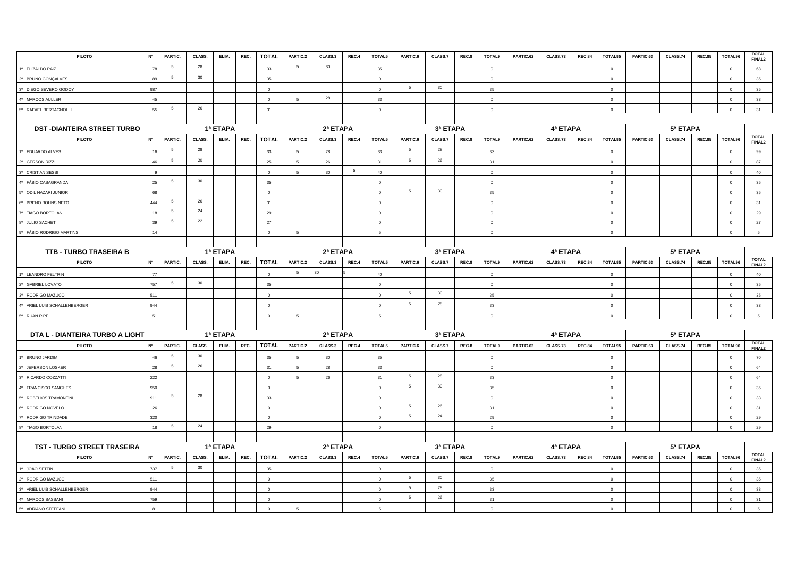| <b>PILOTO</b>                     | <b>N°</b>      | PARTIC.         | CLASS. | ELIM.    | REC. | <b>TOTAL</b> | PARTIC.2        | CLASS.3  | REC.4           | TOTAL5         | PARTIC.6        | CLASS.7         | REC.8 | <b>TOTAL9</b>  | PARTIC.62 | CLASS.73 | <b>REC.84</b> | TOTAL95        | PARTIC.63 | CLASS.74 | <b>REC.85</b> | TOTAL96        | <b>TOTAL</b><br>FINAL2             |
|-----------------------------------|----------------|-----------------|--------|----------|------|--------------|-----------------|----------|-----------------|----------------|-----------------|-----------------|-------|----------------|-----------|----------|---------------|----------------|-----------|----------|---------------|----------------|------------------------------------|
| 1º ELIZALDO PAIZ                  |                | $5\phantom{.0}$ | 28     |          |      | 33           | 5 <sup>5</sup>  | 30       |                 | 35             |                 |                 |       | $\Omega$       |           |          |               | $\Omega$       |           |          |               | $\Omega$       | 68                                 |
| 2º BRUNO GONÇALVES                |                | $5\phantom{.0}$ | 30     |          |      | 35           |                 |          |                 | $\circ$        |                 |                 |       | $\mathbf 0$    |           |          |               | $\mathbf 0$    |           |          |               | $\overline{0}$ | 35                                 |
| 3º DIEGO SEVERO GODOY             | 987            |                 |        |          |      | $\Omega$     |                 |          |                 | $\Omega$       | 5               | 30 <sub>o</sub> |       | 35             |           |          |               | $\Omega$       |           |          |               | $\Omega$       | 35                                 |
| 4º MARCOS AULLER                  |                |                 |        |          |      | $\Omega$     | $\overline{a}$  | 28       |                 | 33             |                 |                 |       | $\circ$        |           |          |               | $\Omega$       |           |          |               | $\Omega$       | 33                                 |
| 5° RAFAEL BERTAGNOLLI             | $\mathbf{r}$   | $5\overline{5}$ | 26     |          |      | 31           |                 |          |                 | $\mathbf 0$    |                 |                 |       | $\circ$        |           |          |               | $\mathbf 0$    |           |          |               | $\overline{0}$ | 31                                 |
|                                   |                |                 |        |          |      |              |                 |          |                 |                |                 |                 |       |                |           |          |               |                |           |          |               |                |                                    |
| <b>DST-DIANTEIRA STREET TURBO</b> |                |                 |        | 1ª ETAPA |      |              |                 | 2ª ETAPA |                 |                |                 | 3ª ETAPA        |       |                |           | 4ª ETAPA |               |                |           | 5ª ETAPA |               |                |                                    |
| PILOTO                            | <b>N°</b>      | PARTIC.         | CLASS. | ELIM.    | REC. | <b>TOTAL</b> | PARTIC.2        | CLASS.3  | REC.4           | TOTAL5         | PARTIC.6        | CLASS.7         | REC.8 | TOTAL9         | PARTIC.62 | CLASS.73 | <b>REC.84</b> | TOTAL95        | PARTIC.63 | CLASS.74 | <b>REC.85</b> | TOTAL96        | <b>TOTAL</b><br>FINAL <sub>2</sub> |
| 1º EDUARDO ALVES                  |                | 5               | 28     |          |      | 33           | 5               | 28       |                 | 33             | 5               | 28              |       | 33             |           |          |               | $\overline{0}$ |           |          |               | $\overline{0}$ | 99                                 |
| 2º GERSON RIZZI                   | $\Delta$       | 5               | 20     |          |      | 25           | $\overline{a}$  | 26       |                 | 31             | $5\overline{5}$ | 26              |       | 31             |           |          |               | $\Omega$       |           |          |               | $\Omega$       | 87                                 |
| 3º CRISTIAN SESSI                 |                |                 |        |          |      | $\mathbf 0$  | -5              | 30       | $5\phantom{.0}$ | 40             |                 |                 |       | $\circ$        |           |          |               | $\Omega$       |           |          |               | $\Omega$       | 40                                 |
| 4º FÁBIO CASAGRANDA               | 25             | - 5             | 30     |          |      | 35           |                 |          |                 | $\circ$        |                 |                 |       | $\circ$        |           |          |               | $\Omega$       |           |          |               | $\Omega$       | 35                                 |
| 5° ODIL NAZARI JUNIOR             |                |                 |        |          |      | $\Omega$     |                 |          |                 | $\Omega$       | 5               | 30              |       | 35             |           |          |               | $\Omega$       |           |          |               | $\Omega$       | 35                                 |
| 6° BRENO BOHNS NETO               | 444            | $5\phantom{.0}$ | 26     |          |      | 31           |                 |          |                 | $\overline{0}$ |                 |                 |       | $\circ$        |           |          |               | $\circ$        |           |          |               | $\overline{0}$ | 31                                 |
| 7º TIAGO BORTOLAN                 |                | 5               | 24     |          |      | 29           |                 |          |                 | $\mathbf 0$    |                 |                 |       | $\Omega$       |           |          |               | $\Omega$       |           |          |               | $\Omega$       | 29                                 |
| 8º JULIO SACHET                   |                | 5               | 22     |          |      | 27           |                 |          |                 | $\Omega$       |                 |                 |       | $\circ$        |           |          |               | $\Omega$       |           |          |               | $\Omega$       | 27                                 |
| 9º FÁBIO RODRIGO MARTINS          |                |                 |        |          |      | $\circ$      | 5               |          |                 | $\overline{5}$ |                 |                 |       | $\overline{0}$ |           |          |               | $\mathbf 0$    |           |          |               | $\mathbf 0$    | 5                                  |
|                                   |                |                 |        |          |      |              |                 |          |                 |                |                 |                 |       |                |           |          |               |                |           |          |               |                |                                    |
| TTB - TURBO TRASEIRA B            |                |                 |        | 1ª ETAPA |      |              |                 | 2ª ETAPA |                 |                |                 | 3ª ETAPA        |       |                |           | 4ª ETAPA |               |                |           | 5ª ETAPA |               |                |                                    |
| <b>PILOTO</b>                     | <b>N°</b>      | PARTIC.         | CLASS. | ELIM.    | REC. | <b>TOTAL</b> | PARTIC.2        | CLASS.3  | REC.4           | TOTAL5         | PARTIC.6        | CLASS.7         | REC.8 | TOTAL9         | PARTIC.62 | CLASS.73 | <b>REC.84</b> | TOTAL95        | PARTIC.63 | CLASS.74 | <b>REC.85</b> | TOTAL96        | <b>TOTAL</b><br>FINAL <sub>2</sub> |
| 1º LEANDRO FELTRIN                |                |                 |        |          |      | $\circ$      | $5\overline{5}$ |          |                 | 40             |                 |                 |       | $\circ$        |           |          |               | $\mathbf 0$    |           |          |               | $\mathbf 0$    | 40                                 |
| 2º GABRIEL LOVATO                 | 757            | 5               | 30     |          |      | 35           |                 |          |                 | $\Omega$       |                 |                 |       | $\Omega$       |           |          |               | $\Omega$       |           |          |               | $\Omega$       | 35                                 |
| 3º RODRIGO MAZUCO                 | 511            |                 |        |          |      | $\circ$      |                 |          |                 | $\circ$        | 5               | 30 <sub>o</sub> |       | 35             |           |          |               | $\circ$        |           |          |               | $\overline{0}$ | 35                                 |
| 4º ARIEL LUIS SCHALLENBERGER      | 944            |                 |        |          |      | $\circ$      |                 |          |                 | $\overline{0}$ | $5\overline{5}$ | 28              |       | 33             |           |          |               | $\circ$        |           |          |               | $\overline{0}$ | 33                                 |
| 5° RUAN RIPE                      | $-5^{\circ}$   |                 |        |          |      | $\circ$      | -5              |          |                 | -5             |                 |                 |       | $\circ$        |           |          |               | $\Omega$       |           |          |               | $\Omega$       | 5                                  |
|                                   |                |                 |        |          |      |              |                 |          |                 |                |                 |                 |       |                |           |          |               |                |           |          |               |                |                                    |
| DTA L - DIANTEIRA TURBO A LIGHT   |                |                 |        | 1ª ETAPA |      |              |                 | 2ª ETAPA |                 |                |                 | 3ª ETAPA        |       |                |           | 4ª ETAPA |               |                |           | 5ª ETAPA |               |                |                                    |
| <b>PILOTO</b>                     | <b>N°</b>      | PARTIC.         | CLASS. | ELIM.    | REC. | <b>TOTAL</b> | PARTIC.2        | CLASS.3  | REC.4           | TOTAL5         | PARTIC.6        | CLASS.7         | REC.8 | TOTAL9         | PARTIC.62 | CLASS.73 | <b>REC.84</b> | TOTAL95        | PARTIC.63 | CLASS.74 | <b>REC.85</b> | TOTAL96        | <b>TOTAL</b><br>FINAL2             |
| 1º BRUNO JARDIM                   |                | $-5$            | 30     |          |      | 35           | $\sqrt{2}$      | 30       |                 | 35             |                 |                 |       | $\Omega$       |           |          |               | $\Omega$       |           |          |               | $\Omega$       | 70                                 |
| 2º JEFERSON LOSKER                |                | $5\overline{5}$ | 26     |          |      | 31           | $5\overline{5}$ | 28       |                 | 33             |                 |                 |       | $\circ$        |           |          |               | $\circ$        |           |          |               | $\overline{0}$ | 64                                 |
| 3º RICARDO COZZATTI               | 222            |                 |        |          |      | $\Omega$     | -5              | 26       |                 | 31             | 5               | 28              |       | 33             |           |          |               | $\Omega$       |           |          |               | $\Omega$       | 64                                 |
| 4º FRANCISCO SANCHES              | 950            |                 |        |          |      | $\circ$      |                 |          |                 | $\mathbf{0}$   | $5\phantom{.0}$ | 30              |       | 35             |           |          |               | $\Omega$       |           |          |               | $\Omega$       | 35                                 |
| 5º ROBELIOS TRAMONTINI            | 911            | 5               | 28     |          |      | 33           |                 |          |                 | $\Omega$       |                 |                 |       | $\Omega$       |           |          |               | $\Omega$       |           |          |               | $\Omega$       | 33                                 |
| 6º RODRIGO NOVELO                 | $\mathcal{L}$  |                 |        |          |      | $\mathbf 0$  |                 |          |                 | $\overline{0}$ | $5\overline{5}$ | 26              |       | 31             |           |          |               | $\circ$        |           |          |               | $\overline{0}$ | 31                                 |
| 7º RODRIGO TRINDADE               | 320            |                 |        |          |      | $\circ$      |                 |          |                 | $\circ$        | $\overline{5}$  | 24              |       | 29             |           |          |               | $\circ$        |           |          |               | $\overline{0}$ | 29                                 |
| 8º TIAGO BORTOLAN                 | $\overline{1}$ | $5\phantom{.0}$ | 24     |          |      | 29           |                 |          |                 | $\mathbf 0$    |                 |                 |       | $\overline{0}$ |           |          |               | $\circ$        |           |          |               | $\overline{0}$ | 29                                 |
|                                   |                |                 |        |          |      |              |                 |          |                 |                |                 |                 |       |                |           |          |               |                |           |          |               |                |                                    |
| TST - TURBO STREET TRASEIRA       |                |                 |        | 1ª ETAPA |      |              | 2ª ETAPA        |          |                 |                | 3ª ETAPA        |                 |       |                | 4ª ETAPA  |          |               |                | 5ª ETAPA  |          |               |                |                                    |
| <b>PILOTO</b>                     | <b>N°</b>      | PARTIC.         | CLASS. | ELIM.    | REC. | <b>TOTAL</b> | PARTIC.2        | CLASS.3  | REC.4           | TOTAL5         | PARTIC.6        | CLASS.7         | REC.8 | TOTAL9         | PARTIC.62 | CLASS.73 | <b>REC.84</b> | TOTAL95        | PARTIC.63 | CLASS.74 | <b>REC.85</b> | TOTAL96        | <b>TOTAL</b><br>FINAL <sub>2</sub> |
| 1º JOÃO SETTIN                    | 737            | $5\overline{5}$ | 30     |          |      | 35           |                 |          |                 | $\Omega$       |                 |                 |       | $\circ$        |           |          |               | $\circ$        |           |          |               | $\overline{0}$ | 35                                 |
| 2º RODRIGO MAZUCO                 | 51             |                 |        |          |      | $\circ$      |                 |          |                 | $\Omega$       | 5               | 30              |       | 35             |           |          |               | $\circ$        |           |          |               | $\Omega$       | 35                                 |
| 3º ARIEL LUIS SCHALLENBERGER      | 944            |                 |        |          |      | $\circ$      |                 |          |                 | $\mathbf 0$    | 5               | 28              |       | 33             |           |          |               | $\circ$        |           |          |               | $\Omega$       | 33                                 |
| 4º MARCOS BASSANI                 | 759            |                 |        |          |      | $\circ$      |                 |          |                 | $\circ$        | 5               | 26              |       | 31             |           |          |               | $\circ$        |           |          |               | $\Omega$       | 31                                 |
| 5º ADRIANO STEFFANI               | $\mathbf{g}$   |                 |        |          |      | $\circ$      | -5              |          |                 | 5              |                 |                 |       | $\Omega$       |           |          |               | $\Omega$       |           |          |               | $\overline{0}$ | 5                                  |